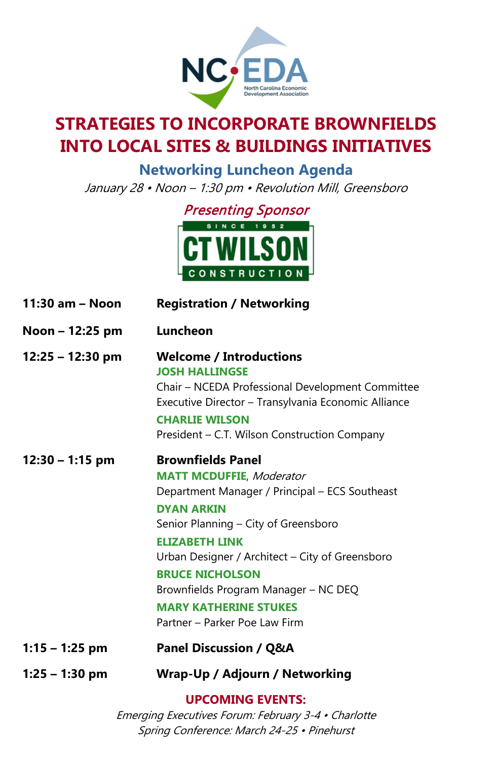

## **STRATEGIES TO INCORPORATE BROWNFIELDS INTO LOCAL SITES & BUILDINGS INITIATIVES**

**Networking Luncheon Agenda** January 28 • Noon – 1:30 pm • Revolution Mill, Greensboro



| 11:30 am - Noon    | <b>Registration / Networking</b>                                                                                                                                                                                                                                                                                                                                                          |
|--------------------|-------------------------------------------------------------------------------------------------------------------------------------------------------------------------------------------------------------------------------------------------------------------------------------------------------------------------------------------------------------------------------------------|
| Noon - 12:25 pm    | Luncheon                                                                                                                                                                                                                                                                                                                                                                                  |
| $12:25 - 12:30$ pm | <b>Welcome / Introductions</b><br><b>JOSH HALLINGSE</b><br>Chair - NCEDA Professional Development Committee<br>Executive Director - Transylvania Economic Alliance<br><b>CHARLIE WILSON</b><br>President - C.T. Wilson Construction Company                                                                                                                                               |
| $12:30 - 1:15$ pm  | <b>Brownfields Panel</b><br><b>MATT MCDUFFIE, Moderator</b><br>Department Manager / Principal - ECS Southeast<br><b>DYAN ARKIN</b><br>Senior Planning - City of Greensboro<br><b>ELIZABETH LINK</b><br>Urban Designer / Architect - City of Greensboro<br><b>BRUCE NICHOLSON</b><br>Brownfields Program Manager - NC DEQ<br><b>MARY KATHERINE STUKES</b><br>Partner - Parker Poe Law Firm |
| $1:15 - 1:25$ pm   | <b>Panel Discussion / Q&amp;A</b>                                                                                                                                                                                                                                                                                                                                                         |
| $1:25 - 1:30$ pm   | <b>Wrap-Up / Adjourn / Networking</b>                                                                                                                                                                                                                                                                                                                                                     |
|                    | <b>UPCOMING EVENTS:</b>                                                                                                                                                                                                                                                                                                                                                                   |

Emerging Executives Forum: February 3-4 • Charlotte Spring Conference: March 24-25 • Pinehurst